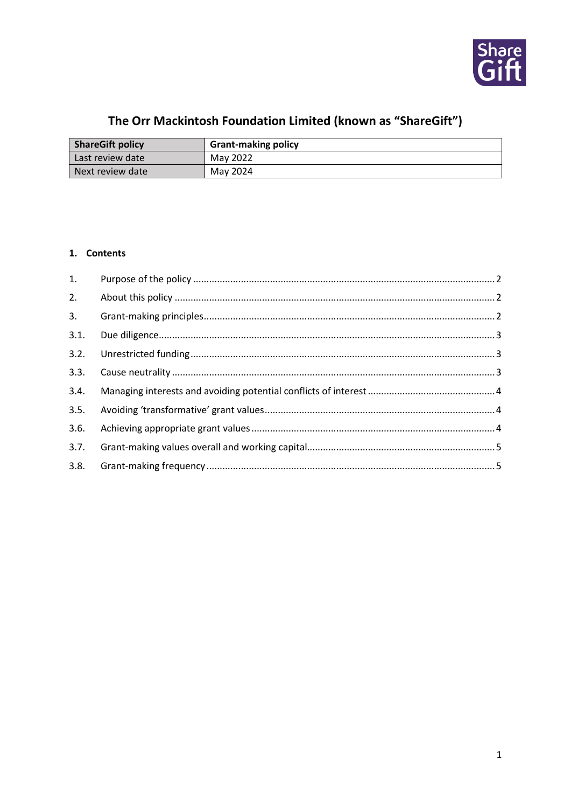

# The Orr Mackintosh Foundation Limited (known as "ShareGift")

| <b>ShareGift policy</b> | <b>Grant-making policy</b> |
|-------------------------|----------------------------|
| Last review date        | May 2022                   |
| l Next review date      | May 2024                   |

## 1. Contents

| 1.   |  |
|------|--|
| 2.   |  |
| 3.   |  |
| 3.1. |  |
| 3.2. |  |
| 3.3. |  |
| 3.4. |  |
| 3.5. |  |
| 3.6. |  |
| 3.7. |  |
| 3.8. |  |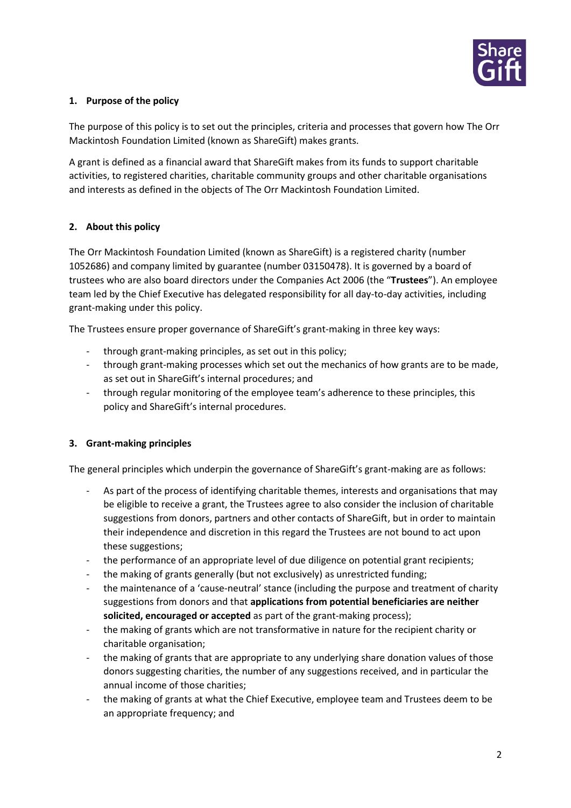

#### <span id="page-1-0"></span>**1. Purpose of the policy**

The purpose of this policy is to set out the principles, criteria and processes that govern how The Orr Mackintosh Foundation Limited (known as ShareGift) makes grants.

A grant is defined as a financial award that ShareGift makes from its funds to support charitable activities, to registered charities, charitable community groups and other charitable organisations and interests as defined in the objects of The Orr Mackintosh Foundation Limited.

## <span id="page-1-1"></span>**2. About this policy**

The Orr Mackintosh Foundation Limited (known as ShareGift) is a registered charity (number 1052686) and company limited by guarantee (number 03150478). It is governed by a board of trustees who are also board directors under the Companies Act 2006 (the "**Trustees**"). An employee team led by the Chief Executive has delegated responsibility for all day-to-day activities, including grant-making under this policy.

The Trustees ensure proper governance of ShareGift's grant-making in three key ways:

- through grant-making principles, as set out in this policy;
- through grant-making processes which set out the mechanics of how grants are to be made, as set out in ShareGift's internal procedures; and
- through regular monitoring of the employee team's adherence to these principles, this policy and ShareGift's internal procedures.

#### <span id="page-1-2"></span>**3. Grant-making principles**

The general principles which underpin the governance of ShareGift's grant-making are as follows:

- As part of the process of identifying charitable themes, interests and organisations that may be eligible to receive a grant, the Trustees agree to also consider the inclusion of charitable suggestions from donors, partners and other contacts of ShareGift, but in order to maintain their independence and discretion in this regard the Trustees are not bound to act upon these suggestions;
- the performance of an appropriate level of due diligence on potential grant recipients;
- the making of grants generally (but not exclusively) as unrestricted funding;
- the maintenance of a 'cause-neutral' stance (including the purpose and treatment of charity suggestions from donors and that **applications from potential beneficiaries are neither solicited, encouraged or accepted** as part of the grant-making process);
- the making of grants which are not transformative in nature for the recipient charity or charitable organisation;
- the making of grants that are appropriate to any underlying share donation values of those donors suggesting charities, the number of any suggestions received, and in particular the annual income of those charities;
- the making of grants at what the Chief Executive, employee team and Trustees deem to be an appropriate frequency; and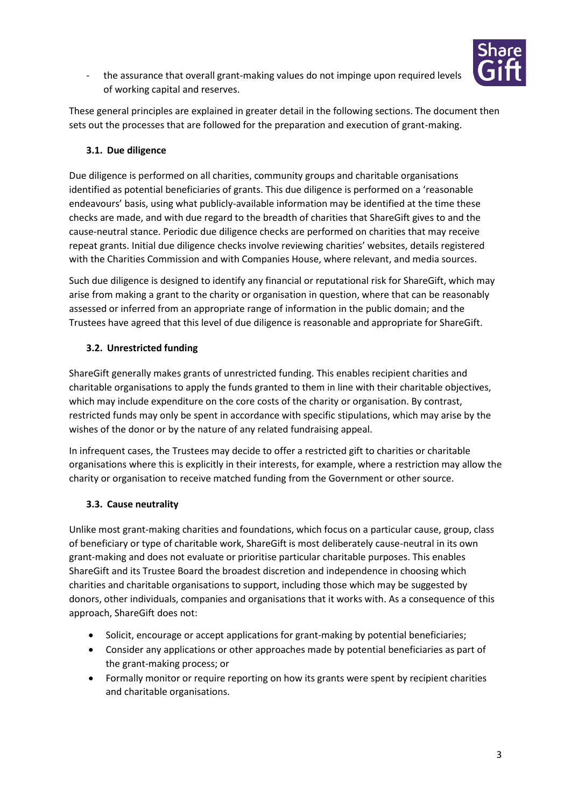

- the assurance that overall grant-making values do not impinge upon required levels of working capital and reserves.

These general principles are explained in greater detail in the following sections. The document then sets out the processes that are followed for the preparation and execution of grant-making.

# <span id="page-2-0"></span>**3.1. Due diligence**

Due diligence is performed on all charities, community groups and charitable organisations identified as potential beneficiaries of grants. This due diligence is performed on a 'reasonable endeavours' basis, using what publicly-available information may be identified at the time these checks are made, and with due regard to the breadth of charities that ShareGift gives to and the cause-neutral stance. Periodic due diligence checks are performed on charities that may receive repeat grants. Initial due diligence checks involve reviewing charities' websites, details registered with the Charities Commission and with Companies House, where relevant, and media sources.

Such due diligence is designed to identify any financial or reputational risk for ShareGift, which may arise from making a grant to the charity or organisation in question, where that can be reasonably assessed or inferred from an appropriate range of information in the public domain; and the Trustees have agreed that this level of due diligence is reasonable and appropriate for ShareGift.

# <span id="page-2-1"></span>**3.2. Unrestricted funding**

ShareGift generally makes grants of unrestricted funding. This enables recipient charities and charitable organisations to apply the funds granted to them in line with their charitable objectives, which may include expenditure on the core costs of the charity or organisation. By contrast, restricted funds may only be spent in accordance with specific stipulations, which may arise by the wishes of the donor or by the nature of any related fundraising appeal.

In infrequent cases, the Trustees may decide to offer a restricted gift to charities or charitable organisations where this is explicitly in their interests, for example, where a restriction may allow the charity or organisation to receive matched funding from the Government or other source.

## <span id="page-2-2"></span>**3.3. Cause neutrality**

Unlike most grant-making charities and foundations, which focus on a particular cause, group, class of beneficiary or type of charitable work, ShareGift is most deliberately cause-neutral in its own grant-making and does not evaluate or prioritise particular charitable purposes. This enables ShareGift and its Trustee Board the broadest discretion and independence in choosing which charities and charitable organisations to support, including those which may be suggested by donors, other individuals, companies and organisations that it works with. As a consequence of this approach, ShareGift does not:

- Solicit, encourage or accept applications for grant-making by potential beneficiaries;
- Consider any applications or other approaches made by potential beneficiaries as part of the grant-making process; or
- Formally monitor or require reporting on how its grants were spent by recipient charities and charitable organisations.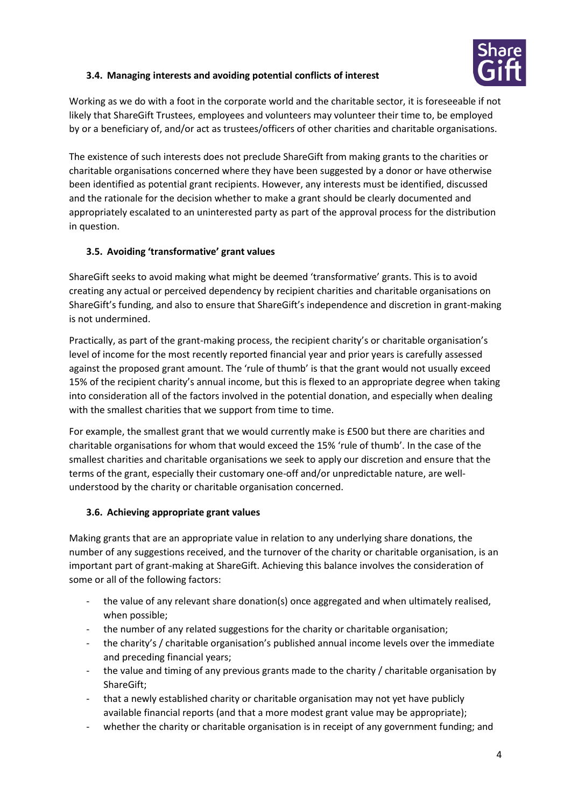

## <span id="page-3-0"></span>**3.4. Managing interests and avoiding potential conflicts of interest**

Working as we do with a foot in the corporate world and the charitable sector, it is foreseeable if not likely that ShareGift Trustees, employees and volunteers may volunteer their time to, be employed by or a beneficiary of, and/or act as trustees/officers of other charities and charitable organisations.

The existence of such interests does not preclude ShareGift from making grants to the charities or charitable organisations concerned where they have been suggested by a donor or have otherwise been identified as potential grant recipients. However, any interests must be identified, discussed and the rationale for the decision whether to make a grant should be clearly documented and appropriately escalated to an uninterested party as part of the approval process for the distribution in question.

## <span id="page-3-1"></span>**3.5. Avoiding 'transformative' grant values**

ShareGift seeks to avoid making what might be deemed 'transformative' grants. This is to avoid creating any actual or perceived dependency by recipient charities and charitable organisations on ShareGift's funding, and also to ensure that ShareGift's independence and discretion in grant-making is not undermined.

Practically, as part of the grant-making process, the recipient charity's or charitable organisation's level of income for the most recently reported financial year and prior years is carefully assessed against the proposed grant amount. The 'rule of thumb' is that the grant would not usually exceed 15% of the recipient charity's annual income, but this is flexed to an appropriate degree when taking into consideration all of the factors involved in the potential donation, and especially when dealing with the smallest charities that we support from time to time.

For example, the smallest grant that we would currently make is £500 but there are charities and charitable organisations for whom that would exceed the 15% 'rule of thumb'. In the case of the smallest charities and charitable organisations we seek to apply our discretion and ensure that the terms of the grant, especially their customary one-off and/or unpredictable nature, are wellunderstood by the charity or charitable organisation concerned.

## <span id="page-3-2"></span>**3.6. Achieving appropriate grant values**

Making grants that are an appropriate value in relation to any underlying share donations, the number of any suggestions received, and the turnover of the charity or charitable organisation, is an important part of grant-making at ShareGift. Achieving this balance involves the consideration of some or all of the following factors:

- the value of any relevant share donation(s) once aggregated and when ultimately realised, when possible;
- the number of any related suggestions for the charity or charitable organisation;
- the charity's / charitable organisation's published annual income levels over the immediate and preceding financial years;
- the value and timing of any previous grants made to the charity / charitable organisation by ShareGift;
- that a newly established charity or charitable organisation may not yet have publicly available financial reports (and that a more modest grant value may be appropriate);
- whether the charity or charitable organisation is in receipt of any government funding; and